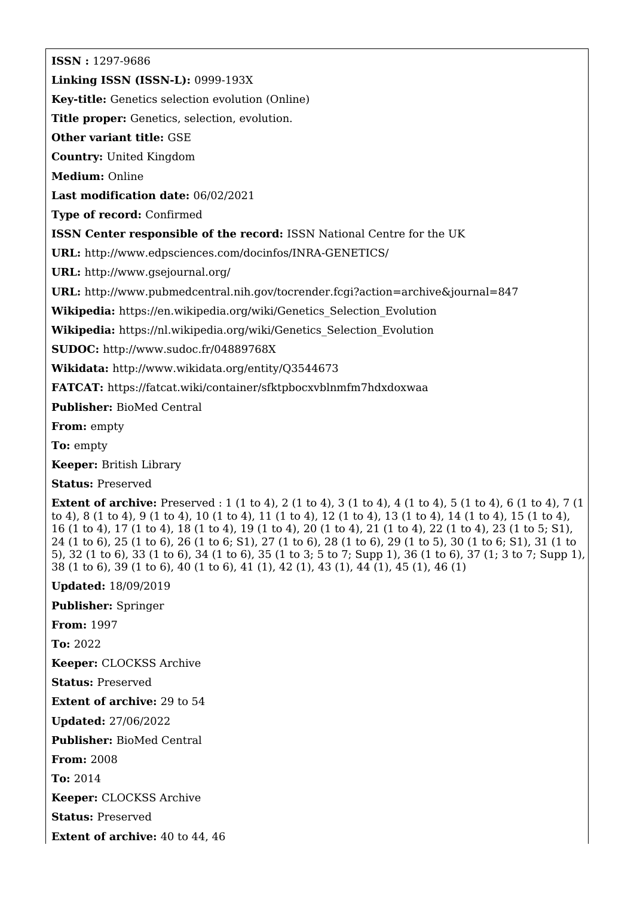**ISSN :** 1297-9686 **Linking ISSN (ISSN-L):** 0999-193X **Key-title:** Genetics selection evolution (Online) **Title proper:** Genetics, selection, evolution. **Other variant title:** GSE **Country:** United Kingdom **Medium:** Online **Last modification date:** 06/02/2021 **Type of record:** Confirmed **ISSN Center responsible of the record:** ISSN National Centre for the UK **URL:** <http://www.edpsciences.com/docinfos/INRA-GENETICS/> **URL:** <http://www.gsejournal.org/> **URL:** <http://www.pubmedcentral.nih.gov/tocrender.fcgi?action=archive&journal=847> **Wikipedia:** [https://en.wikipedia.org/wiki/Genetics\\_Selection\\_Evolution](https://en.wikipedia.org/wiki/Genetics_Selection_Evolution) **Wikipedia:** [https://nl.wikipedia.org/wiki/Genetics\\_Selection\\_Evolution](https://nl.wikipedia.org/wiki/Genetics_Selection_Evolution) **SUDOC:** <http://www.sudoc.fr/04889768X> **Wikidata:** <http://www.wikidata.org/entity/Q3544673> **FATCAT:** <https://fatcat.wiki/container/sfktpbocxvblnmfm7hdxdoxwaa> **Publisher:** BioMed Central **From:** empty

**To:** empty

**Keeper:** British Library

**Status:** Preserved

**Extent of archive:** Preserved : 1 (1 to 4), 2 (1 to 4), 3 (1 to 4), 4 (1 to 4), 5 (1 to 4), 6 (1 to 4), 7 (1 to 4), 8 (1 to 4), 9 (1 to 4), 10 (1 to 4), 11 (1 to 4), 12 (1 to 4), 13 (1 to 4), 14 (1 to 4), 15 (1 to 4), 16 (1 to 4), 17 (1 to 4), 18 (1 to 4), 19 (1 to 4), 20 (1 to 4), 21 (1 to 4), 22 (1 to 4), 23 (1 to 5; S1), 24 (1 to 6), 25 (1 to 6), 26 (1 to 6; S1), 27 (1 to 6), 28 (1 to 6), 29 (1 to 5), 30 (1 to 6; S1), 31 (1 to 5), 32 (1 to 6), 33 (1 to 6), 34 (1 to 6), 35 (1 to 3; 5 to 7; Supp 1), 36 (1 to 6), 37 (1; 3 to 7; Supp 1), 38 (1 to 6), 39 (1 to 6), 40 (1 to 6), 41 (1), 42 (1), 43 (1), 44 (1), 45 (1), 46 (1)

**Updated:** 18/09/2019

**Publisher:** Springer

**From:** 1997

**To:** 2022

**Keeper:** CLOCKSS Archive

**Status:** Preserved

**Extent of archive:** 29 to 54

**Updated:** 27/06/2022

**Publisher:** BioMed Central

**From:** 2008

**To:** 2014

**Keeper:** CLOCKSS Archive

**Status:** Preserved

**Extent of archive:** 40 to 44, 46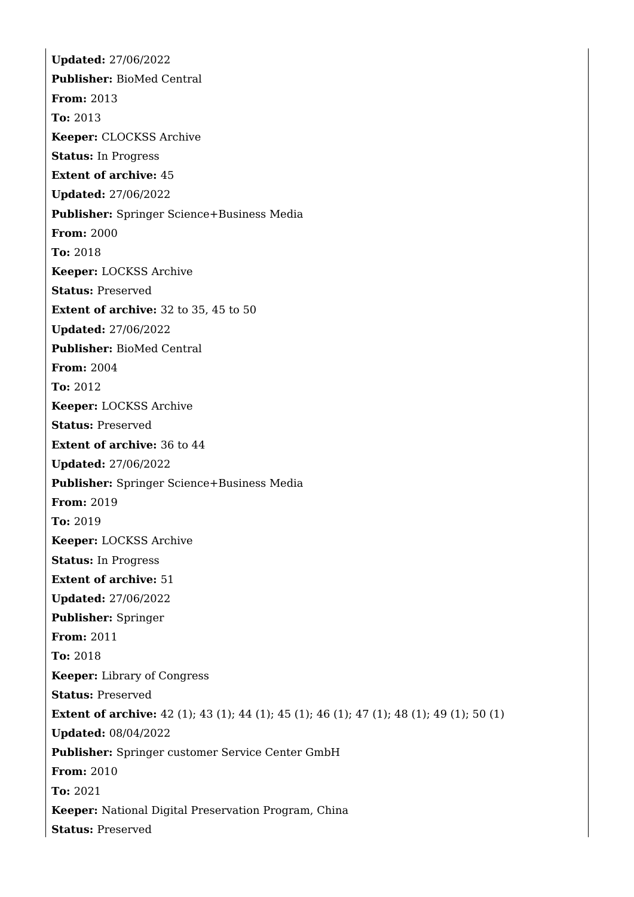**Updated:** 27/06/2022 **Publisher:** BioMed Central **From:** 2013 **To:** 2013 **Keeper:** CLOCKSS Archive **Status:** In Progress **Extent of archive:** 45 **Updated:** 27/06/2022 **Publisher:** Springer Science+Business Media **From:** 2000 **To:** 2018 **Keeper:** LOCKSS Archive **Status:** Preserved **Extent of archive:** 32 to 35, 45 to 50 **Updated:** 27/06/2022 **Publisher:** BioMed Central **From:** 2004 **To:** 2012 **Keeper:** LOCKSS Archive **Status:** Preserved **Extent of archive:** 36 to 44 **Updated:** 27/06/2022 **Publisher:** Springer Science+Business Media **From:** 2019 **To:** 2019 **Keeper:** LOCKSS Archive **Status:** In Progress **Extent of archive:** 51 **Updated:** 27/06/2022 **Publisher:** Springer **From:** 2011 **To:** 2018 **Keeper:** Library of Congress **Status:** Preserved **Extent of archive:** 42 (1); 43 (1); 44 (1); 45 (1); 46 (1); 47 (1); 48 (1); 49 (1); 50 (1) **Updated:** 08/04/2022 **Publisher:** Springer customer Service Center GmbH **From:** 2010 **To:** 2021 **Keeper:** National Digital Preservation Program, China **Status:** Preserved